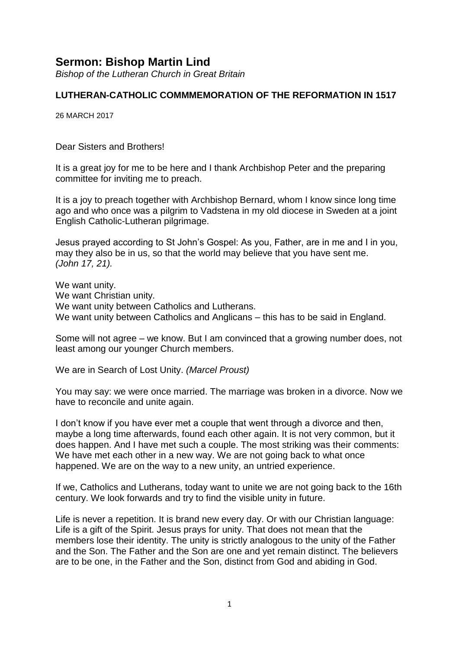# **Sermon: Bishop Martin Lind**

*Bishop of the Lutheran Church in Great Britain*

### **LUTHERAN-CATHOLIC COMMMEMORATION OF THE REFORMATION IN 1517**

26 MARCH 2017

#### Dear Sisters and Brothers!

It is a great joy for me to be here and I thank Archbishop Peter and the preparing committee for inviting me to preach.

It is a joy to preach together with Archbishop Bernard, whom I know since long time ago and who once was a pilgrim to Vadstena in my old diocese in Sweden at a joint English Catholic-Lutheran pilgrimage.

Jesus prayed according to St John's Gospel: As you, Father, are in me and I in you, may they also be in us, so that the world may believe that you have sent me. *(John 17, 21).*

We want unity. We want Christian unity. We want unity between Catholics and Lutherans. We want unity between Catholics and Anglicans – this has to be said in England.

Some will not agree – we know. But I am convinced that a growing number does, not least among our younger Church members.

We are in Search of Lost Unity. *(Marcel Proust)*

You may say: we were once married. The marriage was broken in a divorce. Now we have to reconcile and unite again.

I don't know if you have ever met a couple that went through a divorce and then, maybe a long time afterwards, found each other again. It is not very common, but it does happen. And I have met such a couple. The most striking was their comments: We have met each other in a new way. We are not going back to what once happened. We are on the way to a new unity, an untried experience.

If we, Catholics and Lutherans, today want to unite we are not going back to the 16th century. We look forwards and try to find the visible unity in future.

Life is never a repetition. It is brand new every day. Or with our Christian language: Life is a gift of the Spirit. Jesus prays for unity. That does not mean that the members lose their identity. The unity is strictly analogous to the unity of the Father and the Son. The Father and the Son are one and yet remain distinct. The believers are to be one, in the Father and the Son, distinct from God and abiding in God.